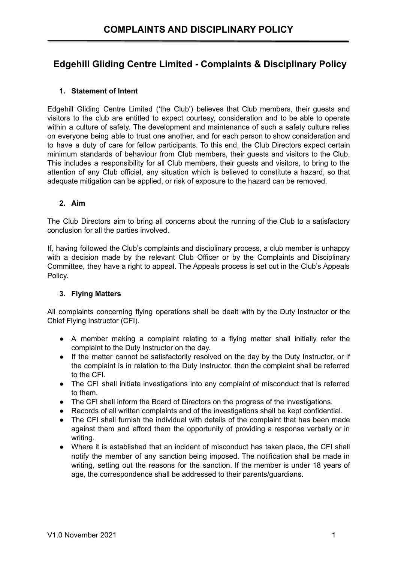# **Edgehill Gliding Centre Limited - Complaints & Disciplinary Policy**

## **1. Statement of Intent**

Edgehill Gliding Centre Limited ('the Club') believes that Club members, their guests and visitors to the club are entitled to expect courtesy, consideration and to be able to operate within a culture of safety. The development and maintenance of such a safety culture relies on everyone being able to trust one another, and for each person to show consideration and to have a duty of care for fellow participants. To this end, the Club Directors expect certain minimum standards of behaviour from Club members, their guests and visitors to the Club. This includes a responsibility for all Club members, their guests and visitors, to bring to the attention of any Club official, any situation which is believed to constitute a hazard, so that adequate mitigation can be applied, or risk of exposure to the hazard can be removed.

#### **2. Aim**

The Club Directors aim to bring all concerns about the running of the Club to a satisfactory conclusion for all the parties involved.

If, having followed the Club's complaints and disciplinary process, a club member is unhappy with a decision made by the relevant Club Officer or by the Complaints and Disciplinary Committee, they have a right to appeal. The Appeals process is set out in the Club's Appeals Policy.

#### **3. Flying Matters**

All complaints concerning flying operations shall be dealt with by the Duty Instructor or the Chief Flying Instructor (CFI).

- A member making a complaint relating to a flying matter shall initially refer the complaint to the Duty Instructor on the day.
- If the matter cannot be satisfactorily resolved on the day by the Duty Instructor, or if the complaint is in relation to the Duty Instructor, then the complaint shall be referred to the CFI.
- The CFI shall initiate investigations into any complaint of misconduct that is referred to them.
- The CFI shall inform the Board of Directors on the progress of the investigations.
- Records of all written complaints and of the investigations shall be kept confidential.
- The CFI shall furnish the individual with details of the complaint that has been made against them and afford them the opportunity of providing a response verbally or in writing.
- Where it is established that an incident of misconduct has taken place, the CFI shall notify the member of any sanction being imposed. The notification shall be made in writing, setting out the reasons for the sanction. If the member is under 18 years of age, the correspondence shall be addressed to their parents/guardians.